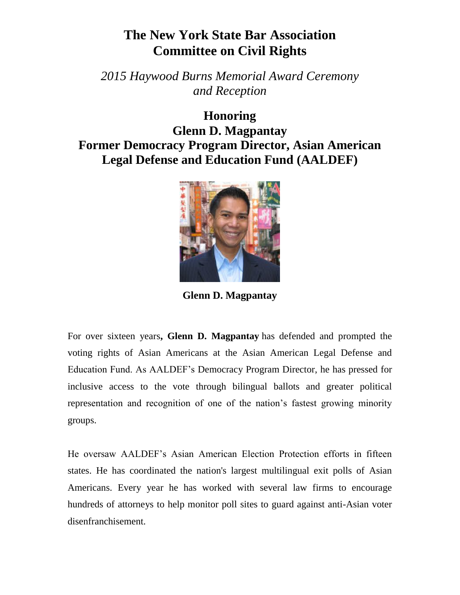## **The New York State Bar Association Committee on Civil Rights**

*2015 Haywood Burns Memorial Award Ceremony and Reception*

**Honoring Glenn D. Magpantay Former Democracy Program Director, Asian American Legal Defense and Education Fund (AALDEF)** 



**Glenn D. Magpantay**

For over sixteen years**, Glenn D. Magpantay** has defended and prompted the voting rights of Asian Americans at the Asian American Legal Defense and Education Fund. As AALDEF's Democracy Program Director, he has pressed for inclusive access to the vote through bilingual ballots and greater political representation and recognition of one of the nation's fastest growing minority groups.

He oversaw AALDEF's Asian American Election Protection efforts in fifteen states. He has coordinated the nation's largest multilingual exit polls of Asian Americans. Every year he has worked with several law firms to encourage hundreds of attorneys to help monitor poll sites to guard against anti-Asian voter disenfranchisement.